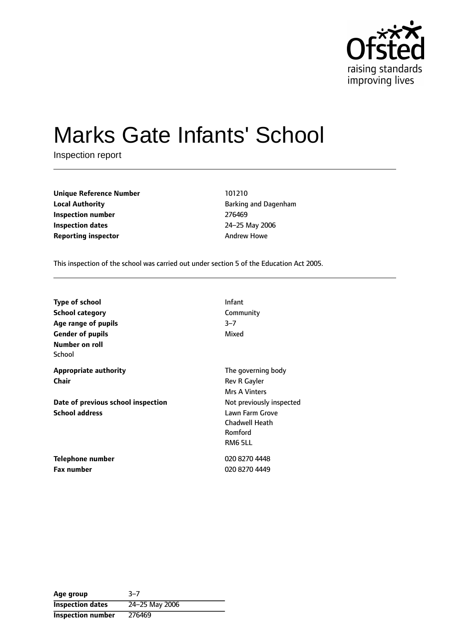

# Marks Gate Infants' School

Inspection report

| <b>Unique Reference Number</b> | 101210                |
|--------------------------------|-----------------------|
| <b>Local Authority</b>         | <b>Barking and Da</b> |
| Inspection number              | 276469                |
| <b>Inspection dates</b>        | 24-25 May 20          |
| Reporting inspector            | <b>Andrew Howe</b>    |

**Unique Reference Number** 101210 **Local Authority** Barking and Dagenham **Inspection number** 276469 **Inspection dates** 2425 May 2006

This inspection of the school was carried out under section 5 of the Education Act 2005.

| <b>Type of school</b>              | Infant                   |
|------------------------------------|--------------------------|
| <b>School category</b>             | Community                |
| Age range of pupils                | $3 - 7$                  |
| <b>Gender of pupils</b>            | Mixed                    |
| Number on roll                     |                          |
| School                             |                          |
| <b>Appropriate authority</b>       | The governing body       |
| Chair                              | Rev R Gayler             |
|                                    | <b>Mrs A Vinters</b>     |
| Date of previous school inspection | Not previously inspected |
| <b>School address</b>              | Lawn Farm Grove          |
|                                    | <b>Chadwell Heath</b>    |
|                                    | Romford                  |
|                                    | RM6 5LL                  |
| Telephone number                   | 020 8270 4448            |
| <b>Fax number</b>                  | 020 8270 4449            |

Age group 3-7 **Inspection dates** 24-25 May 2006 **Inspection number** 276469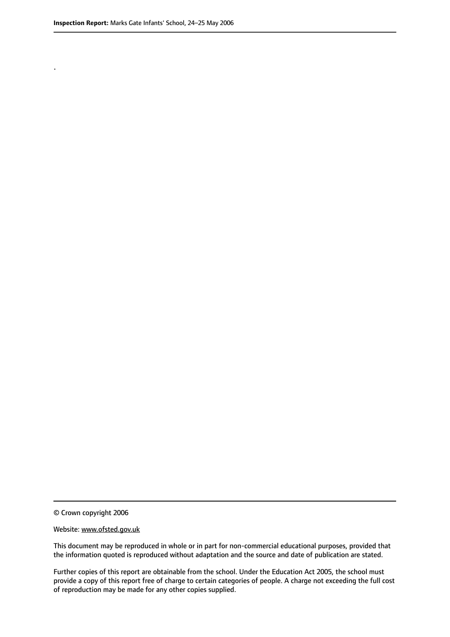.

© Crown copyright 2006

#### Website: www.ofsted.gov.uk

This document may be reproduced in whole or in part for non-commercial educational purposes, provided that the information quoted is reproduced without adaptation and the source and date of publication are stated.

Further copies of this report are obtainable from the school. Under the Education Act 2005, the school must provide a copy of this report free of charge to certain categories of people. A charge not exceeding the full cost of reproduction may be made for any other copies supplied.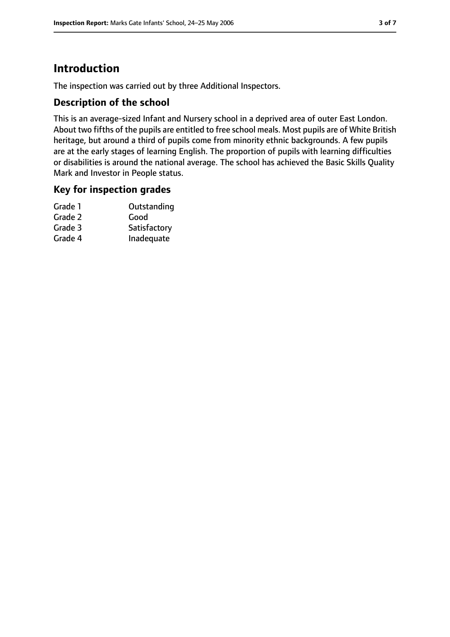# **Introduction**

The inspection was carried out by three Additional Inspectors.

## **Description of the school**

This is an average-sized Infant and Nursery school in a deprived area of outer East London. About two fifths of the pupils are entitled to free school meals. Most pupils are of White British heritage, but around a third of pupils come from minority ethnic backgrounds. A few pupils are at the early stages of learning English. The proportion of pupils with learning difficulties or disabilities is around the national average. The school has achieved the Basic Skills Quality Mark and Investor in People status.

## **Key for inspection grades**

| Grade 1 | Outstanding  |
|---------|--------------|
| Grade 2 | Good         |
| Grade 3 | Satisfactory |
| Grade 4 | Inadequate   |
|         |              |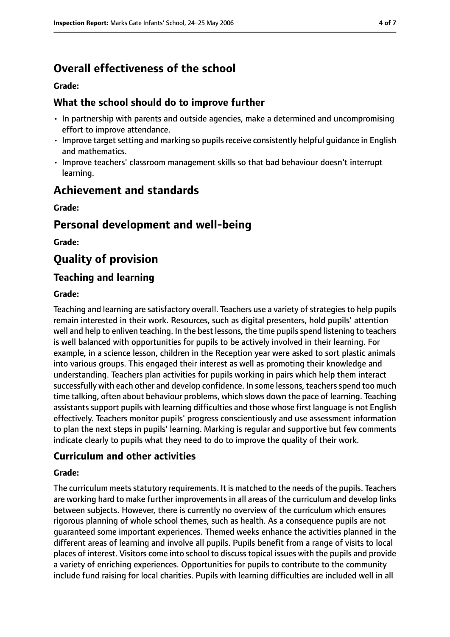# **Overall effectiveness of the school**

#### **Grade:**

## **What the school should do to improve further**

- In partnership with parents and outside agencies, make a determined and uncompromising effort to improve attendance.
- Improve target setting and marking so pupils receive consistently helpful guidance in English and mathematics.
- Improve teachers' classroom management skills so that bad behaviour doesn't interrupt learning.

# **Achievement and standards**

**Grade:**

# **Personal development and well-being**

**Grade:**

# **Quality of provision**

## **Teaching and learning**

## **Grade:**

Teaching and learning are satisfactory overall. Teachers use a variety of strategies to help pupils remain interested in their work. Resources, such as digital presenters, hold pupils' attention well and help to enliven teaching. In the best lessons, the time pupils spend listening to teachers is well balanced with opportunities for pupils to be actively involved in their learning. For example, in a science lesson, children in the Reception year were asked to sort plastic animals into various groups. This engaged their interest as well as promoting their knowledge and understanding. Teachers plan activities for pupils working in pairs which help them interact successfully with each other and develop confidence. In some lessons, teachers spend too much time talking, often about behaviour problems, which slows down the pace of learning. Teaching assistants support pupils with learning difficulties and those whose first language is not English effectively. Teachers monitor pupils' progress conscientiously and use assessment information to plan the next steps in pupils' learning. Marking is regular and supportive but few comments indicate clearly to pupils what they need to do to improve the quality of their work.

## **Curriculum and other activities**

## **Grade:**

The curriculum meets statutory requirements. It is matched to the needs of the pupils. Teachers are working hard to make further improvements in all areas of the curriculum and develop links between subjects. However, there is currently no overview of the curriculum which ensures rigorous planning of whole school themes, such as health. As a consequence pupils are not guaranteed some important experiences. Themed weeks enhance the activities planned in the different areas of learning and involve all pupils. Pupils benefit from a range of visits to local places of interest. Visitors come into school to discuss topical issues with the pupils and provide a variety of enriching experiences. Opportunities for pupils to contribute to the community include fund raising for local charities. Pupils with learning difficulties are included well in all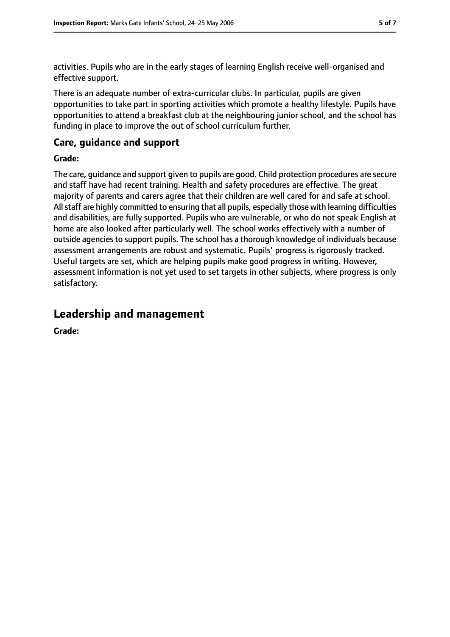activities. Pupils who are in the early stages of learning English receive well-organised and effective support.

There is an adequate number of extra-curricular clubs. In particular, pupils are given opportunities to take part in sporting activities which promote a healthy lifestyle. Pupils have opportunities to attend a breakfast club at the neighbouring junior school, and the school has funding in place to improve the out of school curriculum further.

## **Care, guidance and support**

#### **Grade:**

The care, guidance and support given to pupils are good. Child protection procedures are secure and staff have had recent training. Health and safety procedures are effective. The great majority of parents and carers agree that their children are well cared for and safe at school. All staff are highly committed to ensuring that all pupils, especially those with learning difficulties and disabilities, are fully supported. Pupils who are vulnerable, or who do not speak English at home are also looked after particularly well. The school works effectively with a number of outside agencies to support pupils. The school has a thorough knowledge of individuals because assessment arrangements are robust and systematic. Pupils' progress is rigorously tracked. Useful targets are set, which are helping pupils make good progress in writing. However, assessment information is not yet used to set targets in other subjects, where progress is only satisfactory.

## **Leadership and management**

**Grade:**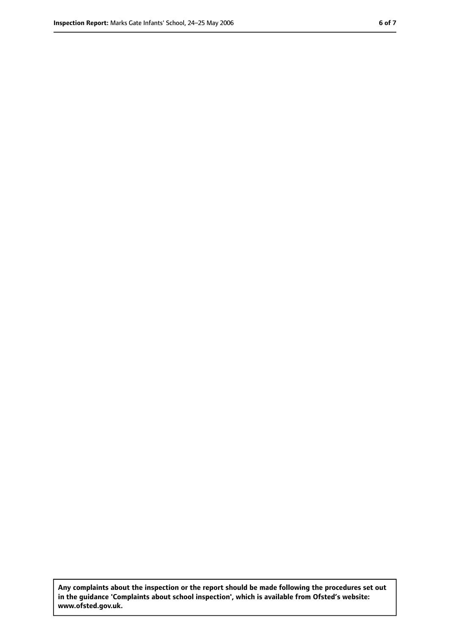**Any complaints about the inspection or the report should be made following the procedures set out in the guidance 'Complaints about school inspection', which is available from Ofsted's website: www.ofsted.gov.uk.**